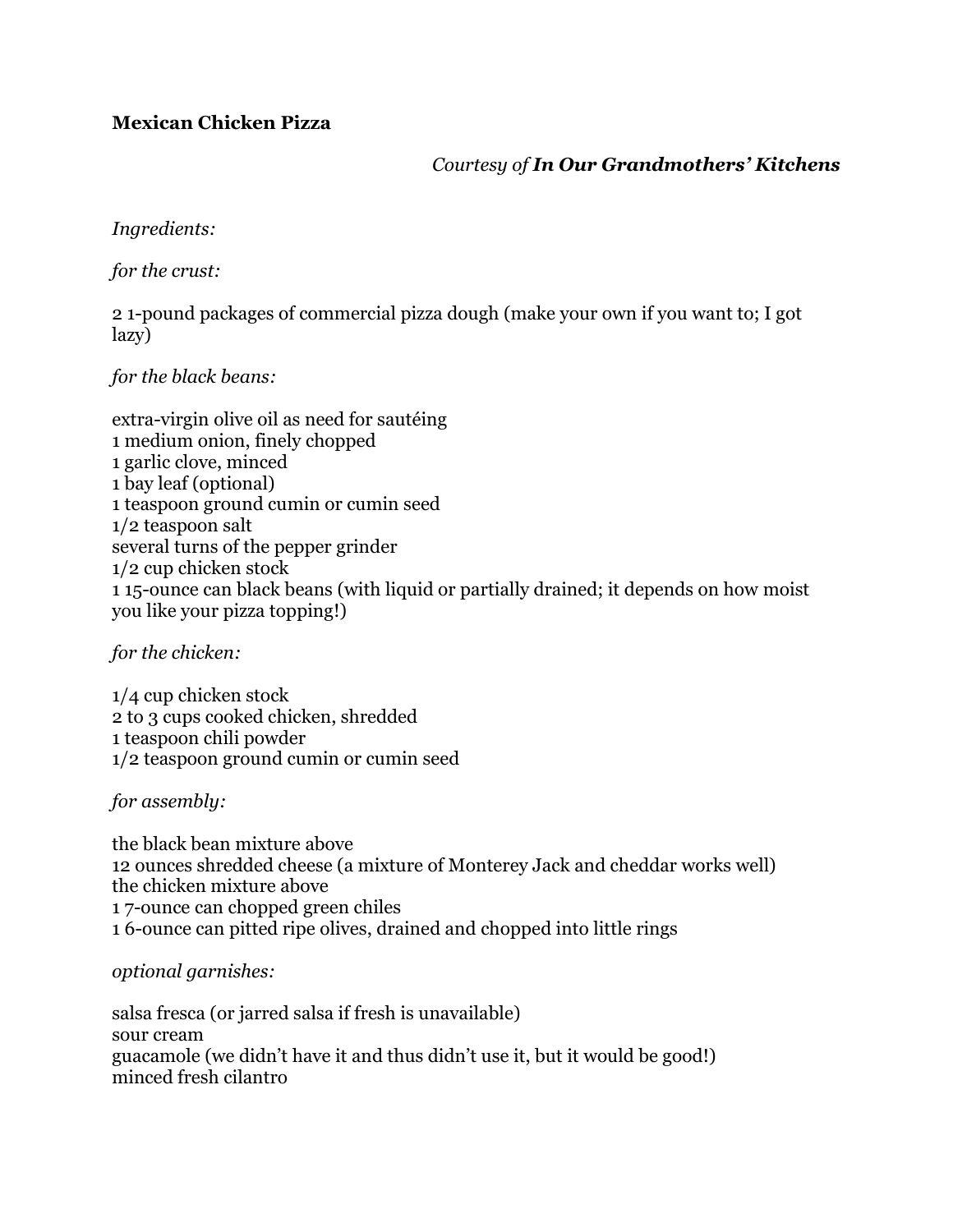## **Mexican Chicken Pizza**

*Courtesy of In Our Grandmothers' Kitchens*

*Ingredients:*

*for the crust:*

2 1-pound packages of commercial pizza dough (make your own if you want to; I got lazy)

*for the black beans:*

extra-virgin olive oil as need for sautéing 1 medium onion, finely chopped 1 garlic clove, minced 1 bay leaf (optional) 1 teaspoon ground cumin or cumin seed 1/2 teaspoon salt several turns of the pepper grinder 1/2 cup chicken stock 1 15-ounce can black beans (with liquid or partially drained; it depends on how moist you like your pizza topping!)

*for the chicken:*

1/4 cup chicken stock 2 to 3 cups cooked chicken, shredded 1 teaspoon chili powder 1/2 teaspoon ground cumin or cumin seed

*for assembly:*

the black bean mixture above 12 ounces shredded cheese (a mixture of Monterey Jack and cheddar works well) the chicken mixture above 1 7-ounce can chopped green chiles 1 6-ounce can pitted ripe olives, drained and chopped into little rings

*optional garnishes:*

salsa fresca (or jarred salsa if fresh is unavailable) sour cream guacamole (we didn't have it and thus didn't use it, but it would be good!) minced fresh cilantro